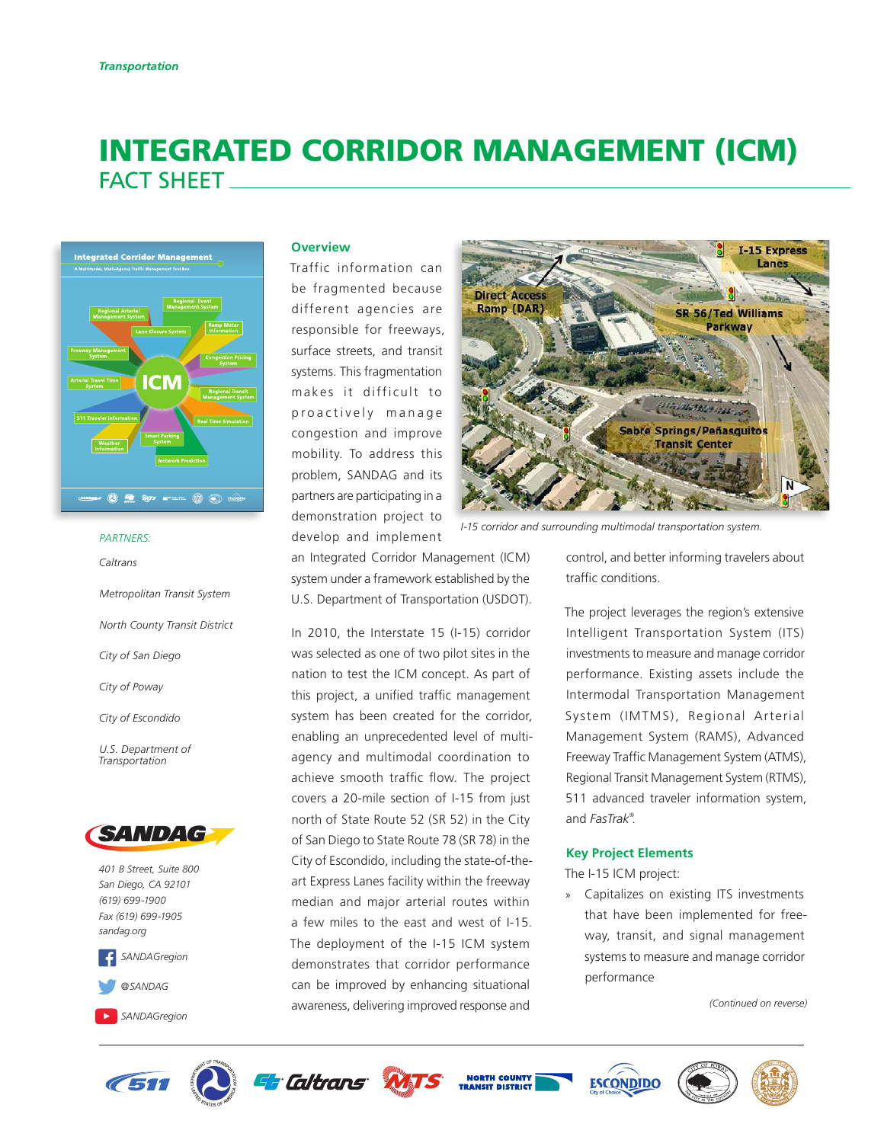# INTEGRATED CORRIDOR MANAGEMENT (ICM) FACT SHEET



#### *PARTNERS:*

*Caltrans*

*Metropolitan Transit System North County Transit District City of San Diego City of Poway City of Escondido U.S. Department of Transportation*



*401 B Street, Suite 800 San Diego, CA 92101 (619) 699-1900 Fax (619) 699-1905 [sandag.org](http://www.sandag.org)*



### **Overview**

Traffic information can be fragmented because different agencies are responsible for freeways, surface streets, and transit systems. This fragmentation makes it difficult to proactively manage congestion and improve mobility. To address this problem, SANDAG and its partners are participating in a demonstration project to develop and implement

an Integrated Corridor Management (ICM) system under a framework established by the U.S. Department of Transportation (USDOT).

In 2010, the Interstate 15 (I-15) corridor was selected as one of two pilot sites in the nation to test the ICM concept. As part of this project, a unified traffic management system has been created for the corridor, enabling an unprecedented level of multiagency and multimodal coordination to achieve smooth traffic flow. The project covers a 20-mile section of I-15 from just north of State Route 52 (SR 52) in the City of San Diego to State Route 78 (SR 78) in the City of Escondido, including the state-of-theart Express Lanes facility within the freeway median and major arterial routes within a few miles to the east and west of I-15. The deployment of the I-15 ICM system demonstrates that corridor performance can be improved by enhancing situational awareness, delivering improved response and



*I-15 corridor and surrounding multimodal transportation system.*

control, and better informing travelers about traffic conditions.

The project leverages the region's extensive Intelligent Transportation System (ITS) investments to measure and manage corridor performance. Existing assets include the Intermodal Transportation Management System (IMTMS), Regional Arterial Management System (RAMS), Advanced Freeway Traffic Management System (ATMS), Regional Transit Management System (RTMS), 511 advanced traveler information system, and *FasTrak®* .

### **Key Project Elements**

The I-15 ICM project:

» Capitalizes on existing ITS investments that have been implemented for freeway, transit, and signal management systems to measure and manage corridor performance

*(Continued on reverse)*







**NORTH COUNTY**